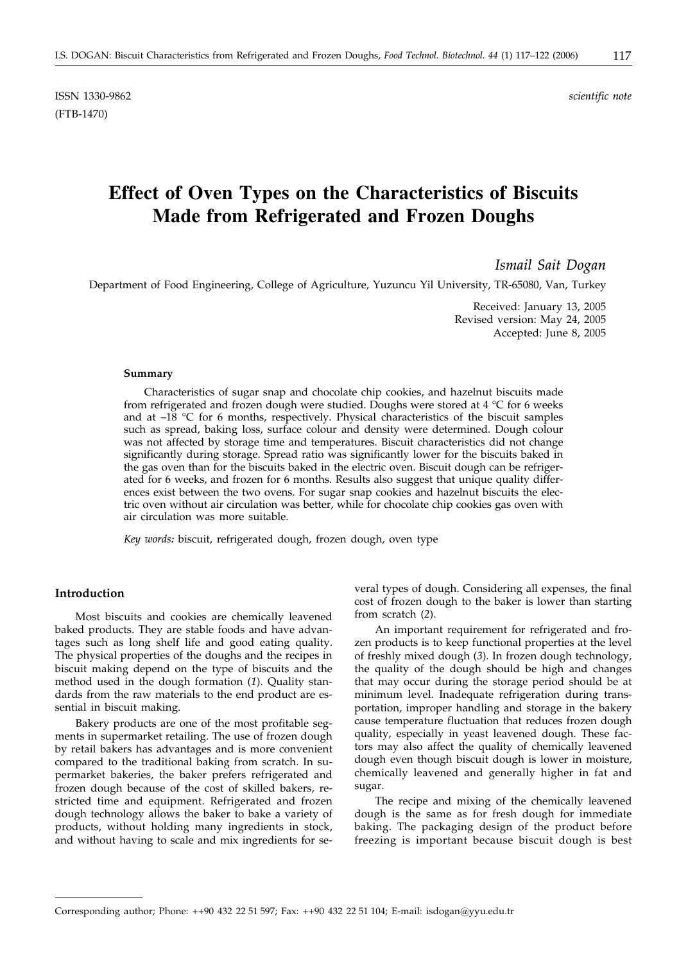ISSN 1330-9862 *scientific note* (FTB-1470)

# **Effect of Oven Types on the Characteristics of Biscuits Made from Refrigerated and Frozen Doughs**

*Ismail Sait Dogan*

Department of Food Engineering, College of Agriculture, Yuzuncu Yil University, TR-65080, Van, Turkey

Received: January 13, 2005 Revised version: May 24, 2005 Accepted: June 8, 2005

# **Summary**

Characteristics of sugar snap and chocolate chip cookies, and hazelnut biscuits made from refrigerated and frozen dough were studied. Doughs were stored at  $4 \degree C$  for 6 weeks and at  $-18$  °C for 6 months, respectively. Physical characteristics of the biscuit samples such as spread, baking loss, surface colour and density were determined. Dough colour was not affected by storage time and temperatures. Biscuit characteristics did not change significantly during storage. Spread ratio was significantly lower for the biscuits baked in the gas oven than for the biscuits baked in the electric oven. Biscuit dough can be refrigerated for 6 weeks, and frozen for 6 months. Results also suggest that unique quality differences exist between the two ovens. For sugar snap cookies and hazelnut biscuits the electric oven without air circulation was better, while for chocolate chip cookies gas oven with air circulation was more suitable.

*Key words:* biscuit, refrigerated dough, frozen dough, oven type

# **Introduction**

Most biscuits and cookies are chemically leavened baked products. They are stable foods and have advantages such as long shelf life and good eating quality. The physical properties of the doughs and the recipes in biscuit making depend on the type of biscuits and the method used in the dough formation (*1*). Quality standards from the raw materials to the end product are essential in biscuit making.

Bakery products are one of the most profitable segments in supermarket retailing. The use of frozen dough by retail bakers has advantages and is more convenient compared to the traditional baking from scratch. In supermarket bakeries, the baker prefers refrigerated and frozen dough because of the cost of skilled bakers, restricted time and equipment. Refrigerated and frozen dough technology allows the baker to bake a variety of products, without holding many ingredients in stock, and without having to scale and mix ingredients for several types of dough. Considering all expenses, the final cost of frozen dough to the baker is lower than starting from scratch (*2*).

An important requirement for refrigerated and frozen products is to keep functional properties at the level of freshly mixed dough (*3*). In frozen dough technology, the quality of the dough should be high and changes that may occur during the storage period should be at minimum level. Inadequate refrigeration during transportation, improper handling and storage in the bakery cause temperature fluctuation that reduces frozen dough quality, especially in yeast leavened dough. These factors may also affect the quality of chemically leavened dough even though biscuit dough is lower in moisture, chemically leavened and generally higher in fat and sugar.

The recipe and mixing of the chemically leavened dough is the same as for fresh dough for immediate baking. The packaging design of the product before freezing is important because biscuit dough is best

Corresponding author; Phone: ++90 432 22 51 597; Fax: ++90 432 22 51 104; E-mail: isdogan*@*yyu.edu.tr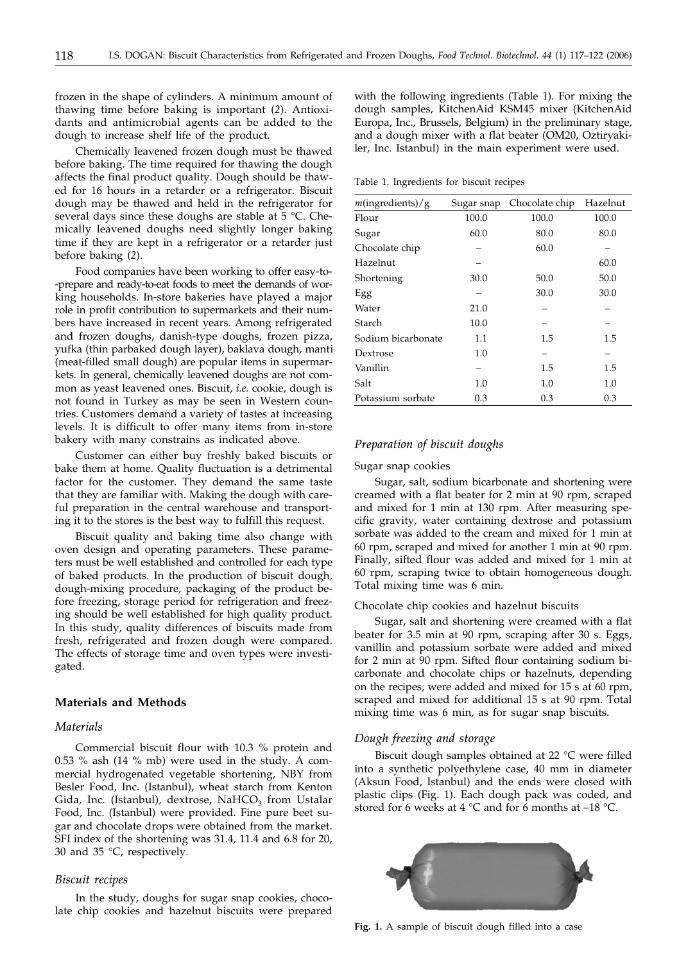frozen in the shape of cylinders. A minimum amount of thawing time before baking is important (*2*). Antioxidants and antimicrobial agents can be added to the dough to increase shelf life of the product.

Chemically leavened frozen dough must be thawed before baking. The time required for thawing the dough affects the final product quality. Dough should be thawed for 16 hours in a retarder or a refrigerator. Biscuit dough may be thawed and held in the refrigerator for several days since these doughs are stable at 5 °C. Chemically leavened doughs need slightly longer baking time if they are kept in a refrigerator or a retarder just before baking (*2*).

Food companies have been working to offer easy-to- -prepare and ready-to-eat foods to meet the demands of working households. In-store bakeries have played a major role in profit contribution to supermarkets and their numbers have increased in recent years. Among refrigerated and frozen doughs, danish-type doughs, frozen pizza, yufka (thin parbaked dough layer), baklava dough, manti (meat-filled small dough) are popular items in supermarkets. In general, chemically leavened doughs are not common as yeast leavened ones. Biscuit, *i.e.* cookie, dough is not found in Turkey as may be seen in Western countries. Customers demand a variety of tastes at increasing levels. It is difficult to offer many items from in-store bakery with many constrains as indicated above.

Customer can either buy freshly baked biscuits or bake them at home. Quality fluctuation is a detrimental factor for the customer. They demand the same taste that they are familiar with. Making the dough with careful preparation in the central warehouse and transporting it to the stores is the best way to fulfill this request.

Biscuit quality and baking time also change with oven design and operating parameters. These parameters must be well established and controlled for each type of baked products. In the production of biscuit dough, dough-mixing procedure, packaging of the product before freezing, storage period for refrigeration and freezing should be well established for high quality product. In this study, quality differences of biscuits made from fresh, refrigerated and frozen dough were compared. The effects of storage time and oven types were investigated.

# **Materials and Methods**

# *Materials*

Commercial biscuit flour with 10.3 % protein and 0.53 % ash (14 % mb) were used in the study. A commercial hydrogenated vegetable shortening, NBY from Besler Food, Inc. (Istanbul), wheat starch from Kenton Gida, Inc. (Istanbul), dextrose, NaHCO<sub>3</sub> from Ustalar Food, Inc. (Istanbul) were provided. Fine pure beet sugar and chocolate drops were obtained from the market. SFI index of the shortening was 31.4, 11.4 and 6.8 for 20, 30 and 35 °C, respectively.

# *Biscuit recipes*

In the study, doughs for sugar snap cookies, chocolate chip cookies and hazelnut biscuits were prepared

with the following ingredients (Table 1). For mixing the dough samples, KitchenAid KSM45 mixer (KitchenAid Europa, Inc., Brussels, Belgium) in the preliminary stage, and a dough mixer with a flat beater (OM20, Oztiryakiler, Inc. Istanbul) in the main experiment were used.

Table 1. Ingredients for biscuit recipes

| $m$ (ingredients)/g | Sugar snap | Chocolate chip | Hazelnut |
|---------------------|------------|----------------|----------|
| Flour               | 100.0      | 100.0          | 100.0    |
| Sugar               | 60.0       | 80.0           | 80.0     |
| Chocolate chip      |            | 60.0           |          |
| Hazelnut            |            |                | 60.0     |
| Shortening          | 30.0       | 50.0           | 50.0     |
| Egg                 |            | 30.0           | 30.0     |
| Water               | 21.0       |                |          |
| Starch              | 10.0       |                |          |
| Sodium bicarbonate  | 1.1        | 1.5            | 1.5      |
| Dextrose            | 1.0        |                |          |
| Vanillin            |            | 1.5            | 1.5      |
| Salt                | 1.0        | 1.0            | 1.0      |
| Potassium sorbate   | 0.3        | 0.3            | 0.3      |

# *Preparation of biscuit doughs*

#### Sugar snap cookies

Sugar, salt, sodium bicarbonate and shortening were creamed with a flat beater for 2 min at 90 rpm, scraped and mixed for 1 min at 130 rpm. After measuring specific gravity, water containing dextrose and potassium sorbate was added to the cream and mixed for 1 min at 60 rpm, scraped and mixed for another 1 min at 90 rpm. Finally, sifted flour was added and mixed for 1 min at 60 rpm, scraping twice to obtain homogeneous dough. Total mixing time was 6 min.

#### Chocolate chip cookies and hazelnut biscuits

Sugar, salt and shortening were creamed with a flat beater for 3.5 min at 90 rpm, scraping after 30 s. Eggs, vanillin and potassium sorbate were added and mixed for 2 min at 90 rpm. Sifted flour containing sodium bicarbonate and chocolate chips or hazelnuts, depending on the recipes, were added and mixed for 15 s at 60 rpm, scraped and mixed for additional 15 s at 90 rpm. Total mixing time was 6 min, as for sugar snap biscuits.

# *Dough freezing and storage*

Biscuit dough samples obtained at 22 °C were filled into a synthetic polyethylene case, 40 mm in diameter (Aksun Food, Istanbul) and the ends were closed with plastic clips (Fig. 1). Each dough pack was coded, and stored for 6 weeks at 4  $^{\circ}$ C and for 6 months at -18  $^{\circ}$ C.



**Fig. 1.** A sample of biscuit dough filled into a case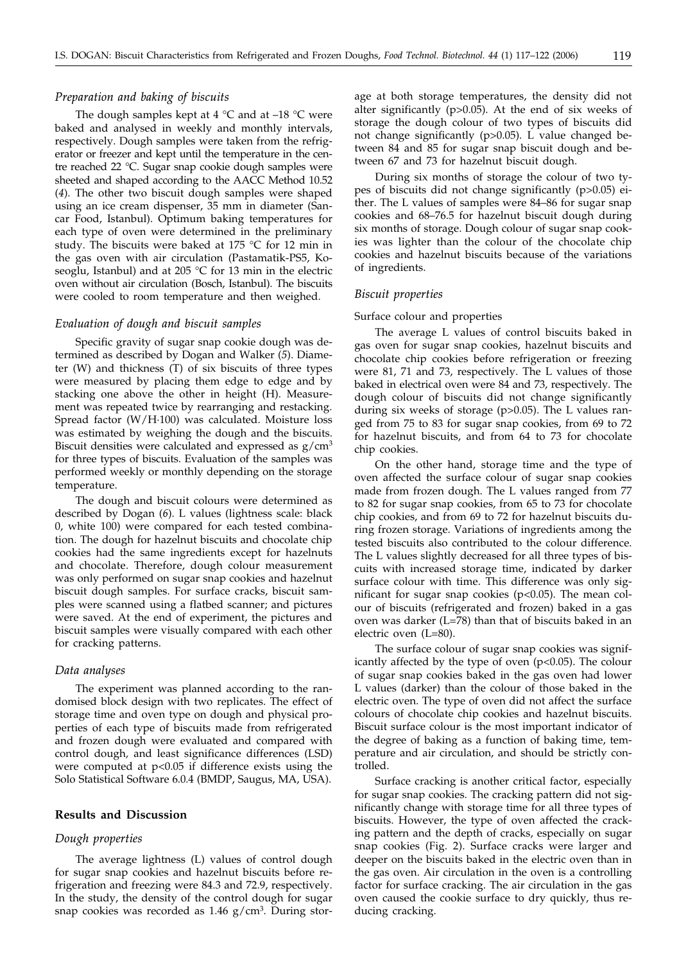# *Preparation and baking of biscuits*

The dough samples kept at  $4 °C$  and at  $-18 °C$  were baked and analysed in weekly and monthly intervals, respectively. Dough samples were taken from the refrigerator or freezer and kept until the temperature in the centre reached 22 °C. Sugar snap cookie dough samples were sheeted and shaped according to the AACC Method 10.52 (*4*). The other two biscuit dough samples were shaped using an ice cream dispenser, 35 mm in diameter (Sancar Food, Istanbul). Optimum baking temperatures for each type of oven were determined in the preliminary study. The biscuits were baked at 175 °C for 12 min in the gas oven with air circulation (Pastamatik-PS5, Koseoglu, Istanbul) and at 205 °C for 13 min in the electric oven without air circulation (Bosch, Istanbul). The biscuits were cooled to room temperature and then weighed.

### *Evaluation of dough and biscuit samples*

Specific gravity of sugar snap cookie dough was determined as described by Dogan and Walker (*5*). Diameter (W) and thickness (T) of six biscuits of three types were measured by placing them edge to edge and by stacking one above the other in height (H). Measurement was repeated twice by rearranging and restacking. Spread factor (W/H·100) was calculated. Moisture loss was estimated by weighing the dough and the biscuits. Biscuit densities were calculated and expressed as  $g/cm<sup>3</sup>$ for three types of biscuits. Evaluation of the samples was performed weekly or monthly depending on the storage temperature.

The dough and biscuit colours were determined as described by Dogan (*6*). L values (lightness scale: black 0, white 100) were compared for each tested combination. The dough for hazelnut biscuits and chocolate chip cookies had the same ingredients except for hazelnuts and chocolate. Therefore, dough colour measurement was only performed on sugar snap cookies and hazelnut biscuit dough samples. For surface cracks, biscuit samples were scanned using a flatbed scanner; and pictures were saved. At the end of experiment, the pictures and biscuit samples were visually compared with each other for cracking patterns.

#### *Data analyses*

The experiment was planned according to the randomised block design with two replicates. The effect of storage time and oven type on dough and physical properties of each type of biscuits made from refrigerated and frozen dough were evaluated and compared with control dough*,* and least significance differences (LSD) were computed at p<0.05 if difference exists using the Solo Statistical Software 6.0.4 (BMDP, Saugus, MA, USA).

## **Results and Discussion**

#### *Dough properties*

The average lightness (L) values of control dough for sugar snap cookies and hazelnut biscuits before refrigeration and freezing were 84.3 and 72.9, respectively. In the study, the density of the control dough for sugar snap cookies was recorded as  $1.46$  g/cm<sup>3</sup>. During storage at both storage temperatures, the density did not alter significantly (p>0.05). At the end of six weeks of storage the dough colour of two types of biscuits did not change significantly (p>0.05). L value changed between 84 and 85 for sugar snap biscuit dough and between 67 and 73 for hazelnut biscuit dough.

During six months of storage the colour of two types of biscuits did not change significantly (p>0.05) either. The L values of samples were 84–86 for sugar snap cookies and 68–76.5 for hazelnut biscuit dough during six months of storage. Dough colour of sugar snap cookies was lighter than the colour of the chocolate chip cookies and hazelnut biscuits because of the variations of ingredients.

#### *Biscuit properties*

#### Surface colour and properties

The average L values of control biscuits baked in gas oven for sugar snap cookies, hazelnut biscuits and chocolate chip cookies before refrigeration or freezing were 81, 71 and 73, respectively. The L values of those baked in electrical oven were 84 and 73, respectively. The dough colour of biscuits did not change significantly during six weeks of storage (p>0.05). The L values ranged from 75 to 83 for sugar snap cookies, from 69 to 72 for hazelnut biscuits, and from 64 to 73 for chocolate chip cookies.

On the other hand, storage time and the type of oven affected the surface colour of sugar snap cookies made from frozen dough. The L values ranged from 77 to 82 for sugar snap cookies, from 65 to 73 for chocolate chip cookies, and from 69 to 72 for hazelnut biscuits during frozen storage. Variations of ingredients among the tested biscuits also contributed to the colour difference. The L values slightly decreased for all three types of biscuits with increased storage time, indicated by darker surface colour with time. This difference was only significant for sugar snap cookies ( $p$ <0.05). The mean colour of biscuits (refrigerated and frozen) baked in a gas oven was darker (L=78) than that of biscuits baked in an electric oven (L=80).

The surface colour of sugar snap cookies was significantly affected by the type of oven (p<0.05). The colour of sugar snap cookies baked in the gas oven had lower L values (darker) than the colour of those baked in the electric oven. The type of oven did not affect the surface colours of chocolate chip cookies and hazelnut biscuits. Biscuit surface colour is the most important indicator of the degree of baking as a function of baking time, temperature and air circulation, and should be strictly controlled.

Surface cracking is another critical factor, especially for sugar snap cookies. The cracking pattern did not significantly change with storage time for all three types of biscuits. However, the type of oven affected the cracking pattern and the depth of cracks, especially on sugar snap cookies (Fig. 2). Surface cracks were larger and deeper on the biscuits baked in the electric oven than in the gas oven. Air circulation in the oven is a controlling factor for surface cracking. The air circulation in the gas oven caused the cookie surface to dry quickly, thus reducing cracking.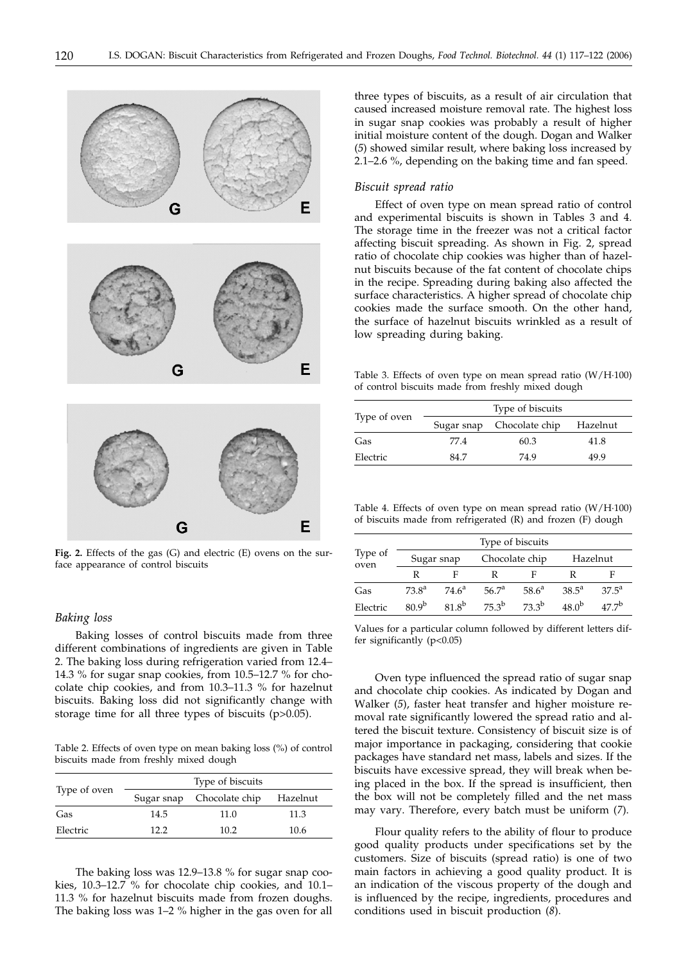

**Fig. 2.** Effects of the gas (G) and electric (E) ovens on the surface appearance of control biscuits

#### *Baking loss*

Baking losses of control biscuits made from three different combinations of ingredients are given in Table 2. The baking loss during refrigeration varied from 12.4– 14.3 % for sugar snap cookies, from 10.5–12.7 % for chocolate chip cookies, and from 10.3–11.3 % for hazelnut biscuits. Baking loss did not significantly change with storage time for all three types of biscuits (p>0.05).

Table 2. Effects of oven type on mean baking loss (%) of control biscuits made from freshly mixed dough

| Type of oven |      | Type of biscuits          |          |
|--------------|------|---------------------------|----------|
|              |      | Sugar snap Chocolate chip | Hazelnut |
| Gas          | 14.5 | 11.0                      | 11.3     |
| Electric     | 122  | 10.2 <sup>2</sup>         | 10.6     |

The baking loss was 12.9–13.8 % for sugar snap cookies, 10.3–12.7 % for chocolate chip cookies, and 10.1– 11.3 % for hazelnut biscuits made from frozen doughs. The baking loss was 1–2 % higher in the gas oven for all

three types of biscuits, as a result of air circulation that caused increased moisture removal rate. The highest loss in sugar snap cookies was probably a result of higher initial moisture content of the dough. Dogan and Walker (*5*) showed similar result, where baking loss increased by 2.1–2.6 %, depending on the baking time and fan speed.

# *Biscuit spread ratio*

Effect of oven type on mean spread ratio of control and experimental biscuits is shown in Tables 3 and 4. The storage time in the freezer was not a critical factor affecting biscuit spreading. As shown in Fig. 2, spread ratio of chocolate chip cookies was higher than of hazelnut biscuits because of the fat content of chocolate chips in the recipe. Spreading during baking also affected the surface characteristics. A higher spread of chocolate chip cookies made the surface smooth. On the other hand, the surface of hazelnut biscuits wrinkled as a result of low spreading during baking.

Table 3. Effects of oven type on mean spread ratio (W/H·100) of control biscuits made from freshly mixed dough

| Type of oven |            | Type of biscuits |          |
|--------------|------------|------------------|----------|
|              | Sugar snap | Chocolate chip   | Hazelnut |
| Gas          | 77.4       | 60.3             | 41.8     |
| Electric     | 84.7       | 74.9             | 49.9     |

Table 4. Effects of oven type on mean spread ratio (W/H·100) of biscuits made from refrigerated (R) and frozen (F) dough

| Type of<br>oven | Type of biscuits |            |                   |            |                |                |
|-----------------|------------------|------------|-------------------|------------|----------------|----------------|
|                 | Sugar snap       |            | Chocolate chip    |            | Hazelnut       |                |
|                 | R                |            |                   |            |                | F              |
| Gas             | $73.8^{\rm a}$   | $74.6^a$   | 56.7 <sup>a</sup> | $58.6^a$   | $38.5^{\circ}$ | $37.5^{\circ}$ |
| Electric        | 809 <sup>b</sup> | $81.8^{b}$ | $75.3^b$          | $73.3^{b}$ | $48.0^{b}$     | $477^{\rm b}$  |

Values for a particular column followed by different letters differ significantly (p<0.05)

Oven type influenced the spread ratio of sugar snap and chocolate chip cookies. As indicated by Dogan and Walker (*5*), faster heat transfer and higher moisture removal rate significantly lowered the spread ratio and altered the biscuit texture. Consistency of biscuit size is of major importance in packaging, considering that cookie packages have standard net mass, labels and sizes. If the biscuits have excessive spread, they will break when being placed in the box. If the spread is insufficient, then the box will not be completely filled and the net mass may vary. Therefore, every batch must be uniform (*7*).

Flour quality refers to the ability of flour to produce good quality products under specifications set by the customers. Size of biscuits (spread ratio) is one of two main factors in achieving a good quality product. It is an indication of the viscous property of the dough and is influenced by the recipe, ingredients, procedures and conditions used in biscuit production (*8*).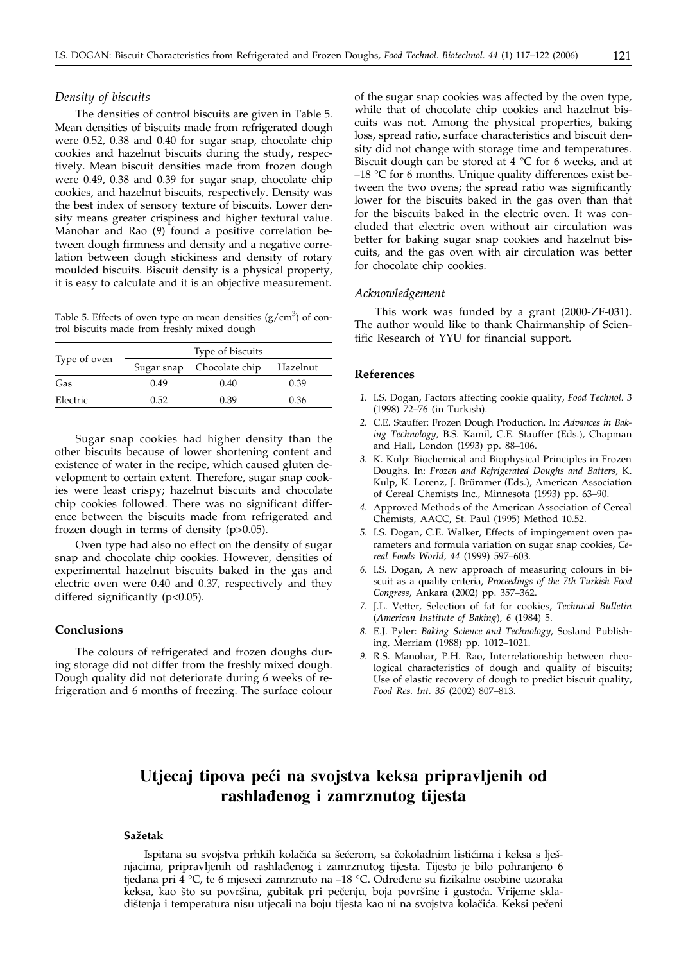# *Density of biscuits*

The densities of control biscuits are given in Table 5. Mean densities of biscuits made from refrigerated dough were 0.52, 0.38 and 0.40 for sugar snap, chocolate chip cookies and hazelnut biscuits during the study, respectively. Mean biscuit densities made from frozen dough were 0.49, 0.38 and 0.39 for sugar snap, chocolate chip cookies, and hazelnut biscuits, respectively. Density was the best index of sensory texture of biscuits. Lower density means greater crispiness and higher textural value. Manohar and Rao (*9*) found a positive correlation between dough firmness and density and a negative correlation between dough stickiness and density of rotary moulded biscuits. Biscuit density is a physical property, it is easy to calculate and it is an objective measurement.

Table 5. Effects of oven type on mean densities  $(g/cm<sup>3</sup>)$  of control biscuits made from freshly mixed dough

| Type of oven |            | Type of biscuits |          |
|--------------|------------|------------------|----------|
|              | Sugar snap | Chocolate chip   | Hazelnut |
| Gas          | 0.49       | 0.40             | 0.39     |
| Electric     | 0.52       | 0.39             | 0.36     |

Sugar snap cookies had higher density than the other biscuits because of lower shortening content and existence of water in the recipe, which caused gluten development to certain extent. Therefore, sugar snap cookies were least crispy; hazelnut biscuits and chocolate chip cookies followed. There was no significant difference between the biscuits made from refrigerated and frozen dough in terms of density (p>0.05).

Oven type had also no effect on the density of sugar snap and chocolate chip cookies. However, densities of experimental hazelnut biscuits baked in the gas and electric oven were 0.40 and 0.37, respectively and they differed significantly (p<0.05).

# **Conclusions**

The colours of refrigerated and frozen doughs during storage did not differ from the freshly mixed dough. Dough quality did not deteriorate during 6 weeks of refrigeration and 6 months of freezing. The surface colour of the sugar snap cookies was affected by the oven type, while that of chocolate chip cookies and hazelnut biscuits was not. Among the physical properties, baking loss, spread ratio, surface characteristics and biscuit density did not change with storage time and temperatures. Biscuit dough can be stored at  $4 °C$  for 6 weeks, and at  $-18$  °C for 6 months. Unique quality differences exist between the two ovens; the spread ratio was significantly lower for the biscuits baked in the gas oven than that for the biscuits baked in the electric oven. It was concluded that electric oven without air circulation was better for baking sugar snap cookies and hazelnut biscuits, and the gas oven with air circulation was better for chocolate chip cookies.

# *Acknowledgement*

This work was funded by a grant (2000-ZF-031). The author would like to thank Chairmanship of Scientific Research of YYU for financial support.

#### **References**

- *1.* I.S. Dogan, Factors affecting cookie quality, *Food Technol. 3* (1998) 72–76 (in Turkish).
- *2.* C.E. Stauffer: Frozen Dough Production. In: *Advances in Baking Technology*, B.S. Kamil, C.E. Stauffer (Eds.), Chapman and Hall, London (1993) pp. 88–106.
- *3.* K. Kulp: Biochemical and Biophysical Principles in Frozen Doughs. In: *Frozen and Refrigerated Doughs and Batters*, K. Kulp, K. Lorenz, J. Brümmer (Eds.), American Association of Cereal Chemists Inc., Minnesota (1993) pp. 63–90.
- *4.* Approved Methods of the American Association of Cereal Chemists, AACC, St. Paul (1995) Method 10.52.
- *5.* I.S. Dogan, C.E. Walker, Effects of impingement oven parameters and formula variation on sugar snap cookies, *Cereal Foods World*, *44* (1999) 597–603.
- *6.* I.S. Dogan, A new approach of measuring colours in biscuit as a quality criteria, *Proceedings of the 7th Turkish Food Congress*, Ankara (2002) pp. 357–362.
- *7.* J.L. Vetter, Selection of fat for cookies, *Technical Bulletin* (*American Institute of Baking*)*, 6* (1984) 5.
- *8.* E.J. Pyler: *Baking Science and Technology,* Sosland Publishing, Merriam (1988) pp. 1012–1021.
- *9.* R.S. Manohar, P.H. Rao, Interrelationship between rheological characteristics of dough and quality of biscuits; Use of elastic recovery of dough to predict biscuit quality, *Food Res. Int. 35* (2002) 807–813.

# **Utjecaj tipova pe}i na svojstva keksa pripravljenih od rashla|enog i zamrznutog tijesta**

#### **Sa`etak**

Ispitana su svojstva prhkih kolačića sa šećerom, sa čokoladnim listićima i keksa s lješnjacima, pripravljenih od rashlađenog i zamrznutog tijesta. Tijesto je bilo pohranjeno 6 tjedana pri 4 °C, te 6 mjeseci zamrznuto na -18 °C. Određene su fizikalne osobine uzoraka keksa, kao što su površina, gubitak pri pečenju, boja površine i gustoća. Vrijeme skladištenja i temperatura nisu utjecali na boju tijesta kao ni na svojstva kolačića. Keksi pečeni